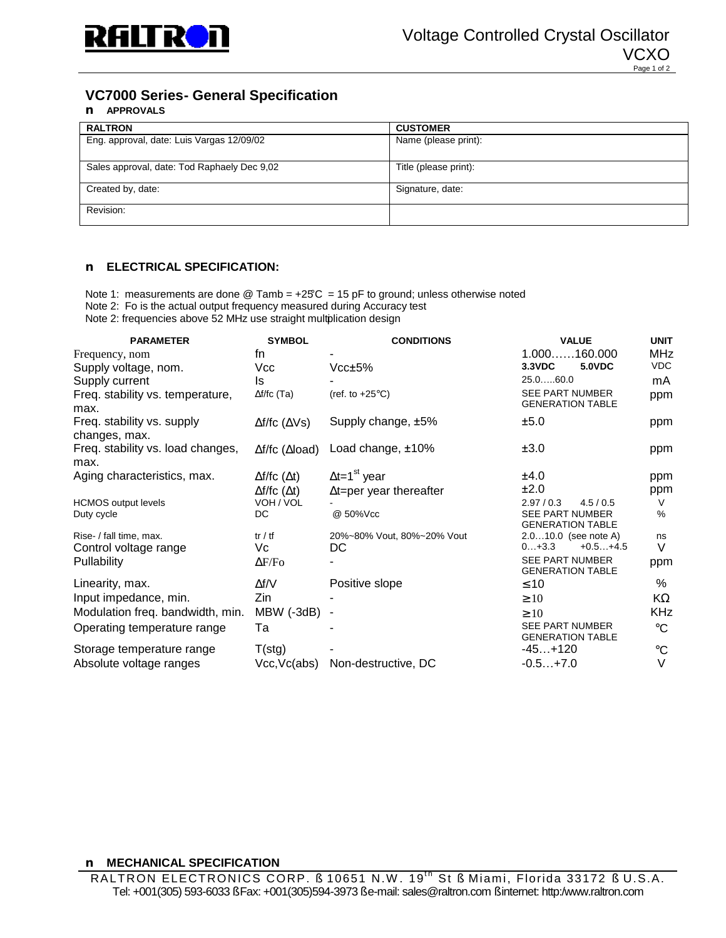

# **VC7000 Series- General Specification**

### **n APPROVALS**

| <b>RALTRON</b>                              | <b>CUSTOMER</b>       |  |  |
|---------------------------------------------|-----------------------|--|--|
| Eng. approval, date: Luis Vargas 12/09/02   | Name (please print):  |  |  |
|                                             |                       |  |  |
| Sales approval, date: Tod Raphaely Dec 9,02 | Title (please print): |  |  |
|                                             |                       |  |  |
| Created by, date:                           | Signature, date:      |  |  |
|                                             |                       |  |  |
| Revision:                                   |                       |  |  |
|                                             |                       |  |  |

#### **n ELECTRICAL SPECIFICATION:**

Note 1: measurements are done  $@$  Tamb =  $+25C = 15$  pF to ground; unless otherwise noted

Note 2: Fo is the actual output frequency measured during Accuracy test

Note 2: frequencies above 52 MHz use straight multiplication design

| <b>PARAMETER</b>                         | <b>SYMBOL</b>                  | <b>CONDITIONS</b>                 | <b>VALUE</b>                                      | <b>UNIT</b>     |
|------------------------------------------|--------------------------------|-----------------------------------|---------------------------------------------------|-----------------|
| Frequency, nom                           | fn                             |                                   | $1.000$ 160.000                                   | MHz             |
| Supply voltage, nom.                     | Vcc                            | Vcc±5%                            | 3.3VDC<br><b>5.0VDC</b>                           | <b>VDC</b>      |
| Supply current                           | ls.                            |                                   | 25.060.0                                          | mA              |
| Freq. stability vs. temperature,<br>max. | $\Delta f$ fc (Ta)             | (ref. to $+25^{\circ}$ C)         | <b>SEE PART NUMBER</b><br><b>GENERATION TABLE</b> | ppm             |
| Freq. stability vs. supply               | $\Delta f$ fc ( $\Delta V$ s)  | Supply change, ±5%                | ±5.0                                              | ppm             |
| changes, max.                            |                                |                                   |                                                   |                 |
| Freq. stability vs. load changes,        | $\Delta f$ fc ( $\Delta$ load) | Load change, ±10%                 | ±3.0                                              | ppm             |
| max.                                     |                                |                                   |                                                   |                 |
| Aging characteristics, max.              | $\Delta f$ fc ( $\Delta t$ )   | $\Delta t = 1$ <sup>st</sup> year | ±4.0                                              | ppm             |
|                                          | $\Delta f$ fc ( $\Delta t$ )   | $\Delta t =$ per year thereafter  | ±2.0                                              | ppm             |
| <b>HCMOS output levels</b>               | VOH / VOL                      |                                   | 2.97/0.3<br>4.5/0.5                               | V               |
| Duty cycle                               | DC.                            | @ 50%Vcc                          | <b>SEE PART NUMBER</b>                            | %               |
| Rise- / fall time, max.                  | tr / tf                        | 20%~80% Vout, 80%~20% Vout        | <b>GENERATION TABLE</b><br>$2.010.0$ (see note A) | ns              |
| Control voltage range                    | Vc                             | DC                                | $0+3.3$<br>$+0.5+4.5$                             | V               |
| Pullability                              | $\Delta F/Fo$                  |                                   | <b>SEE PART NUMBER</b><br><b>GENERATION TABLE</b> | ppm             |
| Linearity, max.                          | $\Delta f/V$                   | Positive slope                    | $\leq 10$                                         | %               |
| Input impedance, min.                    | Zin                            |                                   | $\geq 10$                                         | KΩ              |
| Modulation freq. bandwidth, min.         | MBW (-3dB)                     |                                   | $\geq 10$                                         | KHz             |
| Operating temperature range              | Та                             |                                   | <b>SEE PART NUMBER</b><br><b>GENERATION TABLE</b> | $^{\circ}C$     |
| Storage temperature range                | T(stg)                         |                                   | $-45+120$                                         | $\rm ^{\circ}C$ |
| Absolute voltage ranges                  | Vcc, Vc(abs)                   | Non-destructive, DC               | $-0.5+7.0$                                        | V               |

### **n MECHANICAL SPECIFICATION**